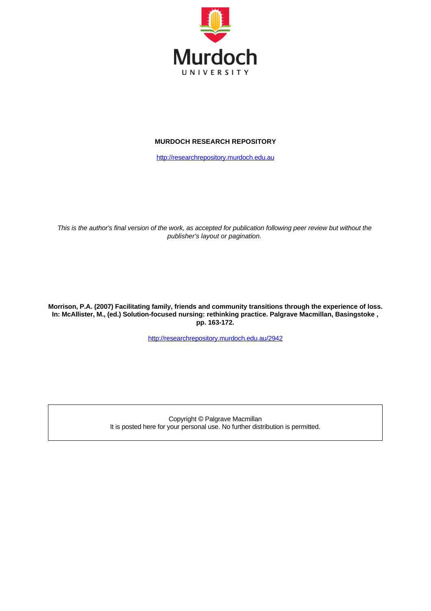

# **MURDOCH RESEARCH REPOSITORY**

[http://researchrepository.murdoch.edu.au](http://researchrepository.murdoch.edu.au/)

*This is the author's final version of the work, as accepted for publication following peer review but without the publisher's layout or pagination.*

**Morrison, P.A. (2007) Facilitating family, friends and community transitions through the experience of loss. In: McAllister, M., (ed.) Solution-focused nursing: rethinking practice. Palgrave Macmillan, Basingstoke , pp. 163-172.**

<http://researchrepository.murdoch.edu.au/2942>

Copyright © Palgrave Macmillan It is posted here for your personal use. No further distribution is permitted.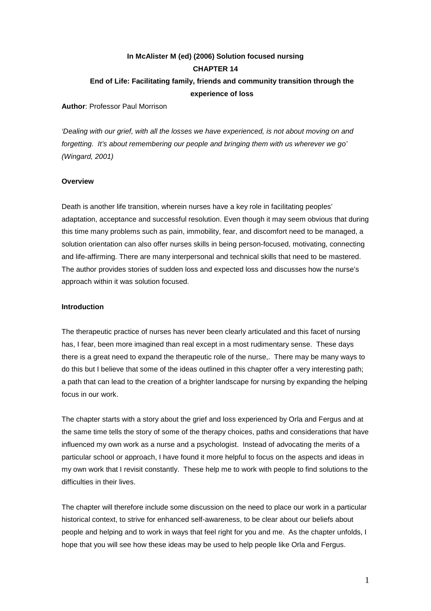# **In McAlister M (ed) (2006) Solution focused nursing CHAPTER 14 End of Life: Facilitating family, friends and community transition through the experience of loss**

**Author**: Professor Paul Morrison

*'Dealing with our grief, with all the losses we have experienced, is not about moving on and forgetting. It's about remembering our people and bringing them with us wherever we go' (Wingard, 2001)*

#### **Overview**

Death is another life transition, wherein nurses have a key role in facilitating peoples' adaptation, acceptance and successful resolution. Even though it may seem obvious that during this time many problems such as pain, immobility, fear, and discomfort need to be managed, a solution orientation can also offer nurses skills in being person-focused, motivating, connecting and life-affirming. There are many interpersonal and technical skills that need to be mastered. The author provides stories of sudden loss and expected loss and discusses how the nurse's approach within it was solution focused.

#### **Introduction**

The therapeutic practice of nurses has never been clearly articulated and this facet of nursing has, I fear, been more imagined than real except in a most rudimentary sense. These days there is a great need to expand the therapeutic role of the nurse,. There may be many ways to do this but I believe that some of the ideas outlined in this chapter offer a very interesting path; a path that can lead to the creation of a brighter landscape for nursing by expanding the helping focus in our work.

The chapter starts with a story about the grief and loss experienced by Orla and Fergus and at the same time tells the story of some of the therapy choices, paths and considerations that have influenced my own work as a nurse and a psychologist. Instead of advocating the merits of a particular school or approach, I have found it more helpful to focus on the aspects and ideas in my own work that I revisit constantly. These help me to work with people to find solutions to the difficulties in their lives.

The chapter will therefore include some discussion on the need to place our work in a particular historical context, to strive for enhanced self-awareness, to be clear about our beliefs about people and helping and to work in ways that feel right for you and me. As the chapter unfolds, I hope that you will see how these ideas may be used to help people like Orla and Fergus.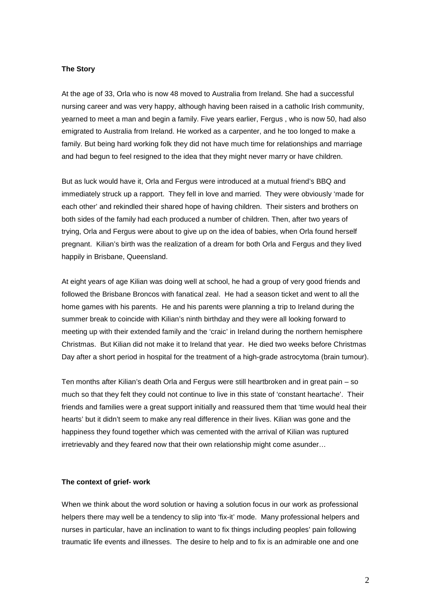#### **The Story**

At the age of 33, Orla who is now 48 moved to Australia from Ireland. She had a successful nursing career and was very happy, although having been raised in a catholic Irish community, yearned to meet a man and begin a family. Five years earlier, Fergus , who is now 50, had also emigrated to Australia from Ireland. He worked as a carpenter, and he too longed to make a family. But being hard working folk they did not have much time for relationships and marriage and had begun to feel resigned to the idea that they might never marry or have children.

But as luck would have it, Orla and Fergus were introduced at a mutual friend's BBQ and immediately struck up a rapport. They fell in love and married. They were obviously 'made for each other' and rekindled their shared hope of having children. Their sisters and brothers on both sides of the family had each produced a number of children. Then, after two years of trying, Orla and Fergus were about to give up on the idea of babies, when Orla found herself pregnant. Kilian's birth was the realization of a dream for both Orla and Fergus and they lived happily in Brisbane, Queensland.

At eight years of age Kilian was doing well at school, he had a group of very good friends and followed the Brisbane Broncos with fanatical zeal. He had a season ticket and went to all the home games with his parents. He and his parents were planning a trip to Ireland during the summer break to coincide with Kilian's ninth birthday and they were all looking forward to meeting up with their extended family and the 'craic' in Ireland during the northern hemisphere Christmas. But Kilian did not make it to Ireland that year. He died two weeks before Christmas Day after a short period in hospital for the treatment of a high-grade astrocytoma (brain tumour).

Ten months after Kilian's death Orla and Fergus were still heartbroken and in great pain – so much so that they felt they could not continue to live in this state of 'constant heartache'. Their friends and families were a great support initially and reassured them that 'time would heal their hearts' but it didn't seem to make any real difference in their lives. Kilian was gone and the happiness they found together which was cemented with the arrival of Kilian was ruptured irretrievably and they feared now that their own relationship might come asunder…

# **The context of grief- work**

When we think about the word solution or having a solution focus in our work as professional helpers there may well be a tendency to slip into 'fix-it' mode. Many professional helpers and nurses in particular, have an inclination to want to fix things including peoples' pain following traumatic life events and illnesses. The desire to help and to fix is an admirable one and one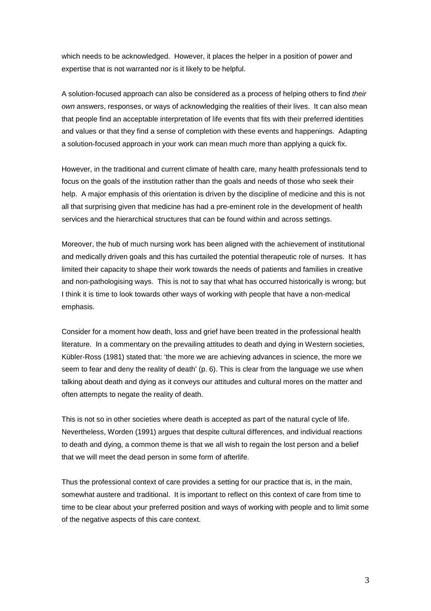which needs to be acknowledged. However, it places the helper in a position of power and expertise that is not warranted nor is it likely to be helpful.

A solution-focused approach can also be considered as a process of helping others to find *their own* answers, responses, or ways of acknowledging the realities of their lives. It can also mean that people find an acceptable interpretation of life events that fits with their preferred identities and values or that they find a sense of completion with these events and happenings. Adapting a solution-focused approach in your work can mean much more than applying a quick fix.

However, in the traditional and current climate of health care, many health professionals tend to focus on the goals of the institution rather than the goals and needs of those who seek their help. A major emphasis of this orientation is driven by the discipline of medicine and this is not all that surprising given that medicine has had a pre-eminent role in the development of health services and the hierarchical structures that can be found within and across settings.

Moreover, the hub of much nursing work has been aligned with the achievement of institutional and medically driven goals and this has curtailed the potential therapeutic role of nurses. It has limited their capacity to shape their work towards the needs of patients and families in creative and non-pathologising ways. This is not to say that what has occurred historically is wrong; but I think it is time to look towards other ways of working with people that have a non-medical emphasis.

Consider for a moment how death, loss and grief have been treated in the professional health literature. In a commentary on the prevailing attitudes to death and dying in Western societies, Kübler-Ross (1981) stated that: 'the more we are achieving advances in science, the more we seem to fear and deny the reality of death' (p. 6). This is clear from the language we use when talking about death and dying as it conveys our attitudes and cultural mores on the matter and often attempts to negate the reality of death.

This is not so in other societies where death is accepted as part of the natural cycle of life. Nevertheless, Worden (1991) argues that despite cultural differences, and individual reactions to death and dying, a common theme is that we all wish to regain the lost person and a belief that we will meet the dead person in some form of afterlife.

Thus the professional context of care provides a setting for our practice that is, in the main, somewhat austere and traditional. It is important to reflect on this context of care from time to time to be clear about your preferred position and ways of working with people and to limit some of the negative aspects of this care context.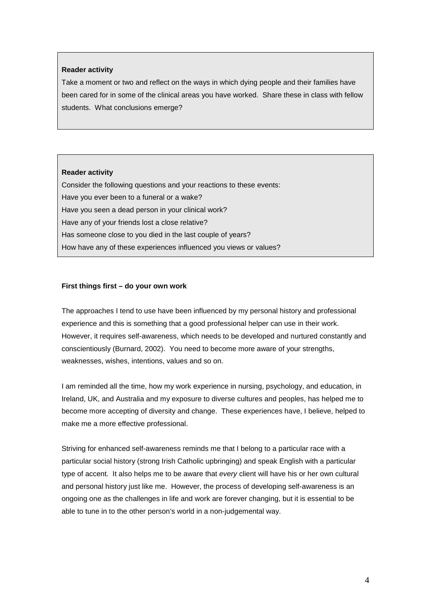#### **Reader activity**

Take a moment or two and reflect on the ways in which dying people and their families have been cared for in some of the clinical areas you have worked. Share these in class with fellow students. What conclusions emerge?

#### **Reader activity**

Consider the following questions and your reactions to these events: Have you ever been to a funeral or a wake? Have you seen a dead person in your clinical work? Have any of your friends lost a close relative? Has someone close to you died in the last couple of years? How have any of these experiences influenced you views or values?

#### **First things first – do your own work**

The approaches I tend to use have been influenced by my personal history and professional experience and this is something that a good professional helper can use in their work. However, it requires self-awareness, which needs to be developed and nurtured constantly and conscientiously (Burnard, 2002). You need to become more aware of your strengths, weaknesses, wishes, intentions, values and so on.

I am reminded all the time, how my work experience in nursing, psychology, and education, in Ireland, UK, and Australia and my exposure to diverse cultures and peoples, has helped me to become more accepting of diversity and change. These experiences have, I believe, helped to make me a more effective professional.

Striving for enhanced self-awareness reminds me that I belong to a particular race with a particular social history (strong Irish Catholic upbringing) and speak English with a particular type of accent. It also helps me to be aware that *every* client will have his or her own cultural and personal history just like me. However, the process of developing self-awareness is an ongoing one as the challenges in life and work are forever changing, but it is essential to be able to tune in to the other person's world in a non-judgemental way.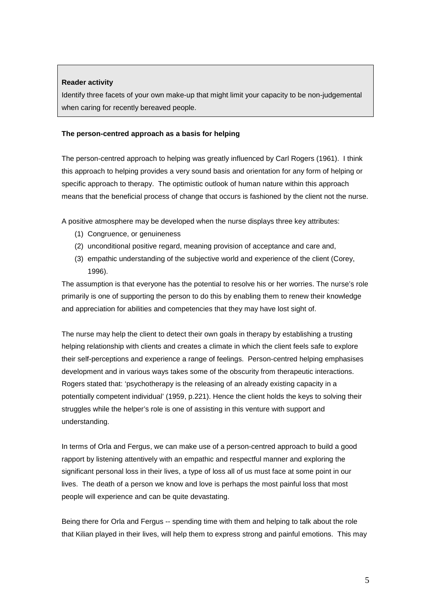# **Reader activity**

Identify three facets of your own make-up that might limit your capacity to be non-judgemental when caring for recently bereaved people.

# **The person-centred approach as a basis for helping**

The person-centred approach to helping was greatly influenced by Carl Rogers (1961). I think this approach to helping provides a very sound basis and orientation for any form of helping or specific approach to therapy. The optimistic outlook of human nature within this approach means that the beneficial process of change that occurs is fashioned by the client not the nurse.

A positive atmosphere may be developed when the nurse displays three key attributes:

- (1) Congruence, or genuineness
- (2) unconditional positive regard, meaning provision of acceptance and care and,
- (3) empathic understanding of the subjective world and experience of the client (Corey, 1996).

The assumption is that everyone has the potential to resolve his or her worries. The nurse's role primarily is one of supporting the person to do this by enabling them to renew their knowledge and appreciation for abilities and competencies that they may have lost sight of.

The nurse may help the client to detect their own goals in therapy by establishing a trusting helping relationship with clients and creates a climate in which the client feels safe to explore their self-perceptions and experience a range of feelings. Person-centred helping emphasises development and in various ways takes some of the obscurity from therapeutic interactions. Rogers stated that: 'psychotherapy is the releasing of an already existing capacity in a potentially competent individual' (1959, p.221). Hence the client holds the keys to solving their struggles while the helper's role is one of assisting in this venture with support and understanding.

In terms of Orla and Fergus, we can make use of a person-centred approach to build a good rapport by listening attentively with an empathic and respectful manner and exploring the significant personal loss in their lives, a type of loss all of us must face at some point in our lives. The death of a person we know and love is perhaps the most painful loss that most people will experience and can be quite devastating.

Being there for Orla and Fergus -- spending time with them and helping to talk about the role that Kilian played in their lives, will help them to express strong and painful emotions. This may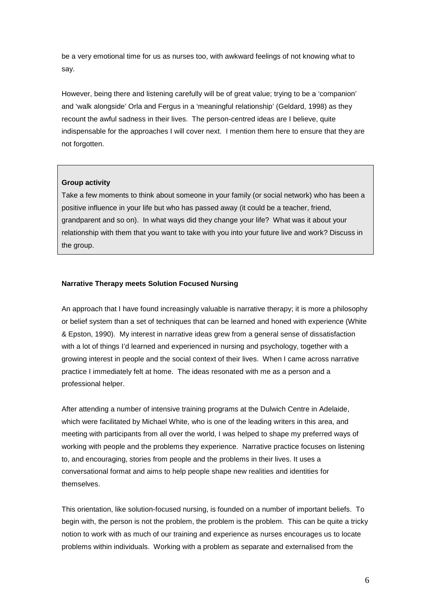be a very emotional time for us as nurses too, with awkward feelings of not knowing what to say.

However, being there and listening carefully will be of great value; trying to be a 'companion' and 'walk alongside' Orla and Fergus in a 'meaningful relationship' (Geldard, 1998) as they recount the awful sadness in their lives. The person-centred ideas are I believe, quite indispensable for the approaches I will cover next. I mention them here to ensure that they are not forgotten.

# **Group activity**

Take a few moments to think about someone in your family (or social network) who has been a positive influence in your life but who has passed away (it could be a teacher, friend, grandparent and so on). In what ways did they change your life? What was it about your relationship with them that you want to take with you into your future live and work? Discuss in the group.

#### **Narrative Therapy meets Solution Focused Nursing**

An approach that I have found increasingly valuable is narrative therapy; it is more a philosophy or belief system than a set of techniques that can be learned and honed with experience (White & Epston, 1990). My interest in narrative ideas grew from a general sense of dissatisfaction with a lot of things I'd learned and experienced in nursing and psychology, together with a growing interest in people and the social context of their lives. When I came across narrative practice I immediately felt at home. The ideas resonated with me as a person and a professional helper.

After attending a number of intensive training programs at the Dulwich Centre in Adelaide, which were facilitated by Michael White, who is one of the leading writers in this area, and meeting with participants from all over the world, I was helped to shape my preferred ways of working with people and the problems they experience. Narrative practice focuses on listening to, and encouraging, stories from people and the problems in their lives. It uses a conversational format and aims to help people shape new realities and identities for themselves.

This orientation, like solution-focused nursing, is founded on a number of important beliefs. To begin with, the person is not the problem, the problem is the problem. This can be quite a tricky notion to work with as much of our training and experience as nurses encourages us to locate problems within individuals. Working with a problem as separate and externalised from the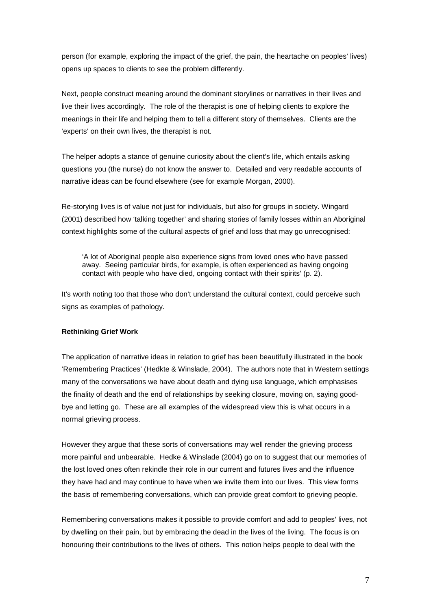person (for example, exploring the impact of the grief, the pain, the heartache on peoples' lives) opens up spaces to clients to see the problem differently.

Next, people construct meaning around the dominant storylines or narratives in their lives and live their lives accordingly. The role of the therapist is one of helping clients to explore the meanings in their life and helping them to tell a different story of themselves. Clients are the 'experts' on their own lives, the therapist is not.

The helper adopts a stance of genuine curiosity about the client's life, which entails asking questions you (the nurse) do not know the answer to. Detailed and very readable accounts of narrative ideas can be found elsewhere (see for example Morgan, 2000).

Re-storying lives is of value not just for individuals, but also for groups in society. Wingard (2001) described how 'talking together' and sharing stories of family losses within an Aboriginal context highlights some of the cultural aspects of grief and loss that may go unrecognised:

'A lot of Aboriginal people also experience signs from loved ones who have passed away. Seeing particular birds, for example, is often experienced as having ongoing contact with people who have died, ongoing contact with their spirits' (p. 2).

It's worth noting too that those who don't understand the cultural context, could perceive such signs as examples of pathology.

# **Rethinking Grief Work**

The application of narrative ideas in relation to grief has been beautifully illustrated in the book 'Remembering Practices' (Hedkte & Winslade, 2004). The authors note that in Western settings many of the conversations we have about death and dying use language, which emphasises the finality of death and the end of relationships by seeking closure, moving on, saying goodbye and letting go. These are all examples of the widespread view this is what occurs in a normal grieving process.

However they argue that these sorts of conversations may well render the grieving process more painful and unbearable. Hedke & Winslade (2004) go on to suggest that our memories of the lost loved ones often rekindle their role in our current and futures lives and the influence they have had and may continue to have when we invite them into our lives. This view forms the basis of remembering conversations, which can provide great comfort to grieving people.

Remembering conversations makes it possible to provide comfort and add to peoples' lives, not by dwelling on their pain, but by embracing the dead in the lives of the living. The focus is on honouring their contributions to the lives of others. This notion helps people to deal with the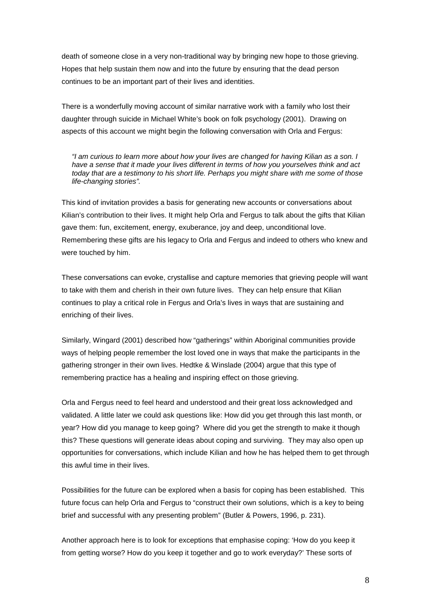death of someone close in a very non-traditional way by bringing new hope to those grieving. Hopes that help sustain them now and into the future by ensuring that the dead person continues to be an important part of their lives and identities.

There is a wonderfully moving account of similar narrative work with a family who lost their daughter through suicide in Michael White's book on folk psychology (2001). Drawing on aspects of this account we might begin the following conversation with Orla and Fergus:

*"I am curious to learn more about how your lives are changed for having Kilian as a son. I have a sense that it made your lives different in terms of how you yourselves think and act today that are a testimony to his short life. Perhaps you might share with me some of those life-changing stories".*

This kind of invitation provides a basis for generating new accounts or conversations about Kilian's contribution to their lives. It might help Orla and Fergus to talk about the gifts that Kilian gave them: fun, excitement, energy, exuberance, joy and deep, unconditional love. Remembering these gifts are his legacy to Orla and Fergus and indeed to others who knew and were touched by him.

These conversations can evoke, crystallise and capture memories that grieving people will want to take with them and cherish in their own future lives. They can help ensure that Kilian continues to play a critical role in Fergus and Orla's lives in ways that are sustaining and enriching of their lives.

Similarly, Wingard (2001) described how "gatherings" within Aboriginal communities provide ways of helping people remember the lost loved one in ways that make the participants in the gathering stronger in their own lives. Hedtke & Winslade (2004) argue that this type of remembering practice has a healing and inspiring effect on those grieving.

Orla and Fergus need to feel heard and understood and their great loss acknowledged and validated. A little later we could ask questions like: How did you get through this last month, or year? How did you manage to keep going? Where did you get the strength to make it though this? These questions will generate ideas about coping and surviving. They may also open up opportunities for conversations, which include Kilian and how he has helped them to get through this awful time in their lives.

Possibilities for the future can be explored when a basis for coping has been established. This future focus can help Orla and Fergus to "construct their own solutions, which is a key to being brief and successful with any presenting problem" (Butler & Powers, 1996, p. 231).

Another approach here is to look for exceptions that emphasise coping: 'How do you keep it from getting worse? How do you keep it together and go to work everyday?' These sorts of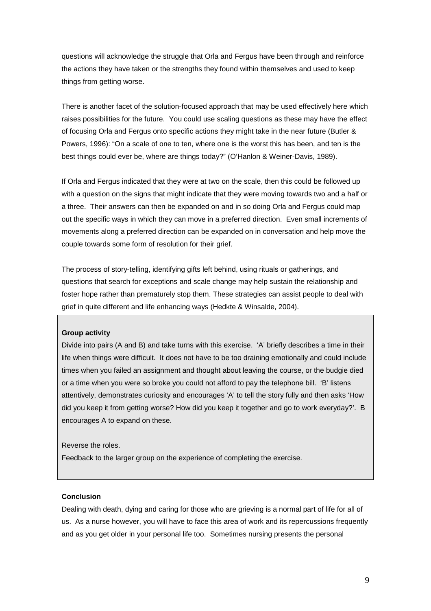questions will acknowledge the struggle that Orla and Fergus have been through and reinforce the actions they have taken or the strengths they found within themselves and used to keep things from getting worse.

There is another facet of the solution-focused approach that may be used effectively here which raises possibilities for the future. You could use scaling questions as these may have the effect of focusing Orla and Fergus onto specific actions they might take in the near future (Butler & Powers, 1996): "On a scale of one to ten, where one is the worst this has been, and ten is the best things could ever be, where are things today?" (O'Hanlon & Weiner-Davis, 1989).

If Orla and Fergus indicated that they were at two on the scale, then this could be followed up with a question on the signs that might indicate that they were moving towards two and a half or a three. Their answers can then be expanded on and in so doing Orla and Fergus could map out the specific ways in which they can move in a preferred direction. Even small increments of movements along a preferred direction can be expanded on in conversation and help move the couple towards some form of resolution for their grief.

The process of story-telling, identifying gifts left behind, using rituals or gatherings, and questions that search for exceptions and scale change may help sustain the relationship and foster hope rather than prematurely stop them. These strategies can assist people to deal with grief in quite different and life enhancing ways (Hedkte & Winsalde, 2004).

#### **Group activity**

Divide into pairs (A and B) and take turns with this exercise. 'A' briefly describes a time in their life when things were difficult. It does not have to be too draining emotionally and could include times when you failed an assignment and thought about leaving the course, or the budgie died or a time when you were so broke you could not afford to pay the telephone bill. 'B' listens attentively, demonstrates curiosity and encourages 'A' to tell the story fully and then asks 'How did you keep it from getting worse? How did you keep it together and go to work everyday?'. B encourages A to expand on these.

Reverse the roles.

Feedback to the larger group on the experience of completing the exercise.

#### **Conclusion**

Dealing with death, dying and caring for those who are grieving is a normal part of life for all of us. As a nurse however, you will have to face this area of work and its repercussions frequently and as you get older in your personal life too. Sometimes nursing presents the personal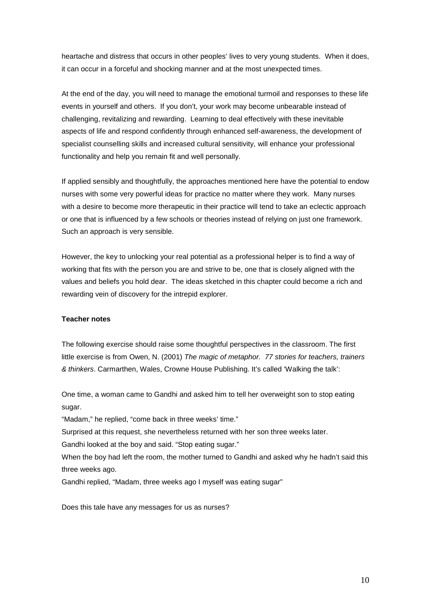heartache and distress that occurs in other peoples' lives to very young students. When it does, it can occur in a forceful and shocking manner and at the most unexpected times.

At the end of the day, you will need to manage the emotional turmoil and responses to these life events in yourself and others. If you don't, your work may become unbearable instead of challenging, revitalizing and rewarding. Learning to deal effectively with these inevitable aspects of life and respond confidently through enhanced self-awareness, the development of specialist counselling skills and increased cultural sensitivity, will enhance your professional functionality and help you remain fit and well personally.

If applied sensibly and thoughtfully, the approaches mentioned here have the potential to endow nurses with some very powerful ideas for practice no matter where they work. Many nurses with a desire to become more therapeutic in their practice will tend to take an eclectic approach or one that is influenced by a few schools or theories instead of relying on just one framework. Such an approach is very sensible.

However, the key to unlocking your real potential as a professional helper is to find a way of working that fits with the person you are and strive to be, one that is closely aligned with the values and beliefs you hold dear. The ideas sketched in this chapter could become a rich and rewarding vein of discovery for the intrepid explorer.

# **Teacher notes**

The following exercise should raise some thoughtful perspectives in the classroom. The first little exercise is from Owen, N. (2001) *The magic of metaphor. 77 stories for teachers, trainers & thinkers*. Carmarthen, Wales, Crowne House Publishing. It's called 'Walking the talk':

One time, a woman came to Gandhi and asked him to tell her overweight son to stop eating sugar.

"Madam," he replied, "come back in three weeks' time."

Surprised at this request, she nevertheless returned with her son three weeks later.

Gandhi looked at the boy and said. "Stop eating sugar."

When the boy had left the room, the mother turned to Gandhi and asked why he hadn't said this three weeks ago.

Gandhi replied, "Madam, three weeks ago I myself was eating sugar"

Does this tale have any messages for us as nurses?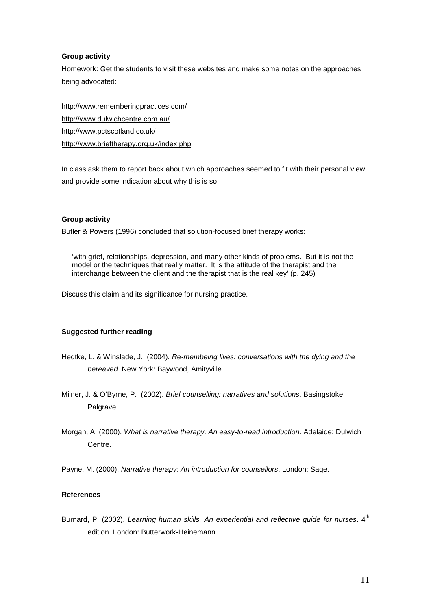# **Group activity**

Homework: Get the students to visit these websites and make some notes on the approaches being advocated:

<http://www.rememberingpractices.com/> <http://www.dulwichcentre.com.au/> <http://www.pctscotland.co.uk/> <http://www.brieftherapy.org.uk/index.php>

In class ask them to report back about which approaches seemed to fit with their personal view and provide some indication about why this is so.

# **Group activity**

Butler & Powers (1996) concluded that solution-focused brief therapy works:

'with grief, relationships, depression, and many other kinds of problems. But it is not the model or the techniques that really matter. It is the attitude of the therapist and the interchange between the client and the therapist that is the real key' (p. 245)

Discuss this claim and its significance for nursing practice.

# **Suggested further reading**

- Hedtke, L. & Winslade, J. (2004). *Re-membeing lives: conversations with the dying and the bereaved*. New York: Baywood, Amityville.
- Milner, J. & O'Byrne, P. (2002). *Brief counselling: narratives and solutions*. Basingstoke: Palgrave.
- Morgan, A. (2000). *What is narrative therapy. An easy-to-read introduction*. Adelaide: Dulwich Centre.

Payne, M. (2000). *Narrative therapy: An introduction for counsellors*. London: Sage.

#### **References**

Burnard, P. (2002). *Learning human skills. An experiential and reflective quide for nurses*. 4<sup>th</sup> edition. London: Butterwork-Heinemann.